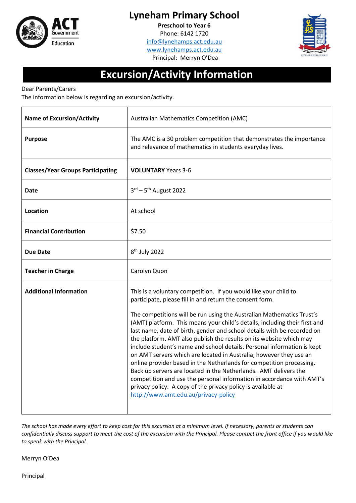

## **Lyneham Primary School**

**Preschool to Year 6**

Phone: 6142 1720 [info@lynehamps.act.edu.au](mailto:info@lynehamps.act.edu.au) [www.lynehamps.act.edu.au](http://www.lynehamps.act.edu.au/) Principal: Merryn O'Dea



## **Excursion/Activity Information**

Dear Parents/Carers

The information below is regarding an excursion/activity.

| <b>Name of Excursion/Activity</b>        | <b>Australian Mathematics Competition (AMC)</b>                                                                                                                                                                                                                                                                                                                                                                                                                                                                                                                                                                                                                                                                                                                                                                                                                                                                     |  |  |
|------------------------------------------|---------------------------------------------------------------------------------------------------------------------------------------------------------------------------------------------------------------------------------------------------------------------------------------------------------------------------------------------------------------------------------------------------------------------------------------------------------------------------------------------------------------------------------------------------------------------------------------------------------------------------------------------------------------------------------------------------------------------------------------------------------------------------------------------------------------------------------------------------------------------------------------------------------------------|--|--|
| <b>Purpose</b>                           | The AMC is a 30 problem competition that demonstrates the importance<br>and relevance of mathematics in students everyday lives.                                                                                                                                                                                                                                                                                                                                                                                                                                                                                                                                                                                                                                                                                                                                                                                    |  |  |
| <b>Classes/Year Groups Participating</b> | <b>VOLUNTARY</b> Years 3-6                                                                                                                                                                                                                                                                                                                                                                                                                                                                                                                                                                                                                                                                                                                                                                                                                                                                                          |  |  |
| Date                                     | $3^{\text{rd}} - 5^{\text{th}}$ August 2022                                                                                                                                                                                                                                                                                                                                                                                                                                                                                                                                                                                                                                                                                                                                                                                                                                                                         |  |  |
| Location                                 | At school                                                                                                                                                                                                                                                                                                                                                                                                                                                                                                                                                                                                                                                                                                                                                                                                                                                                                                           |  |  |
| <b>Financial Contribution</b>            | \$7.50                                                                                                                                                                                                                                                                                                                                                                                                                                                                                                                                                                                                                                                                                                                                                                                                                                                                                                              |  |  |
| <b>Due Date</b>                          | 8 <sup>th</sup> July 2022                                                                                                                                                                                                                                                                                                                                                                                                                                                                                                                                                                                                                                                                                                                                                                                                                                                                                           |  |  |
| <b>Teacher in Charge</b>                 | Carolyn Quon                                                                                                                                                                                                                                                                                                                                                                                                                                                                                                                                                                                                                                                                                                                                                                                                                                                                                                        |  |  |
| <b>Additional Information</b>            | This is a voluntary competition. If you would like your child to<br>participate, please fill in and return the consent form.<br>The competitions will be run using the Australian Mathematics Trust's<br>(AMT) platform. This means your child's details, including their first and<br>last name, date of birth, gender and school details with be recorded on<br>the platform. AMT also publish the results on its website which may<br>include student's name and school details. Personal information is kept<br>on AMT servers which are located in Australia, however they use an<br>online provider based in the Netherlands for competition processing.<br>Back up servers are located in the Netherlands. AMT delivers the<br>competition and use the personal information in accordance with AMT's<br>privacy policy. A copy of the privacy policy is available at<br>http://www.amt.edu.au/privacy-policy |  |  |

*The school has made every effort to keep cost for this excursion at a minimum level. If necessary, parents or students can confidentially discuss support to meet the cost of the excursion with the Principal. Please contact the front office if you would like to speak with the Principal.*

Merryn O'Dea

Principal